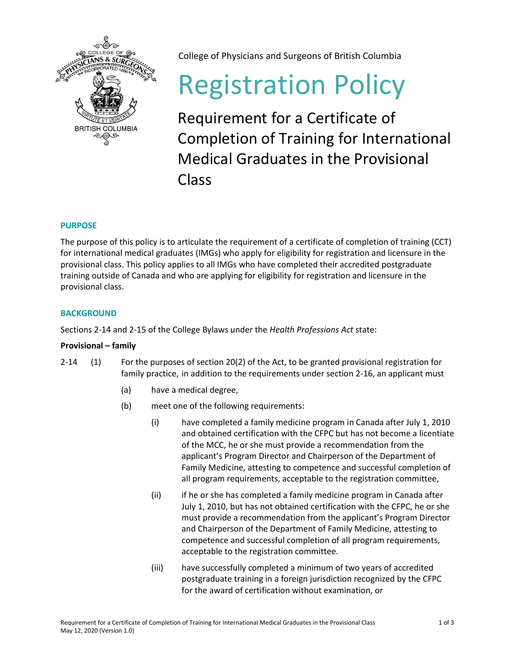

College of Physicians and Surgeons of British Columbia

# Registration Policy

Requirement for a Certificate of Completion of Training for International Medical Graduates in the Provisional Class

# **PURPOSE**

The purpose of this policy is to articulate the requirement of a certificate of completion of training (CCT) for international medical graduates (IMGs) who apply for eligibility for registration and licensure in the provisional class. This policy applies to all IMGs who have completed their accredited postgraduate training outside of Canada and who are applying for eligibility for registration and licensure in the provisional class.

## **BACKGROUND**

Sections 2-14 and 2-15 of the College Bylaws under the *Health Professions Act* state:

## **Provisional – family**

- 2-14 (1) For the purposes of section 20(2) of the Act, to be granted provisional registration for family practice, in addition to the requirements under section 2-16, an applicant must
	- (a) have a medical degree,
	- (b) meet one of the following requirements:
		- (i) have completed a family medicine program in Canada after July 1, 2010 and obtained certification with the CFPC but has not become a licentiate of the MCC, he or she must provide a recommendation from the applicant's Program Director and Chairperson of the Department of Family Medicine, attesting to competence and successful completion of all program requirements, acceptable to the registration committee,
		- (ii) if he or she has completed a family medicine program in Canada after July 1, 2010, but has not obtained certification with the CFPC, he or she must provide a recommendation from the applicant's Program Director and Chairperson of the Department of Family Medicine, attesting to competence and successful completion of all program requirements, acceptable to the registration committee.
		- (iii) have successfully completed a minimum of two years of accredited postgraduate training in a foreign jurisdiction recognized by the CFPC for the award of certification without examination, or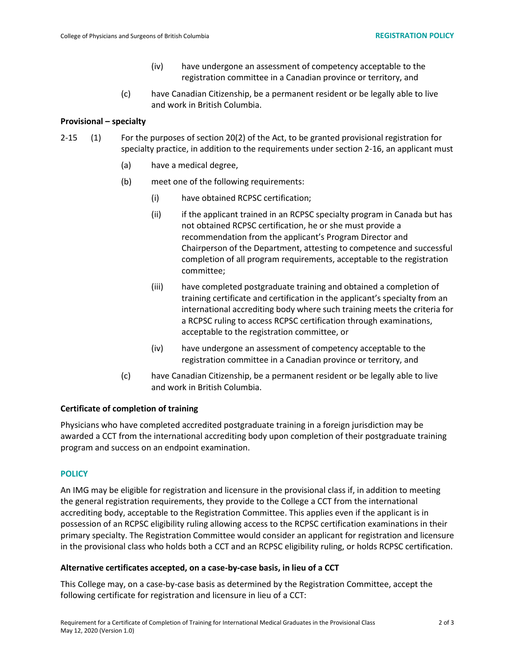- (iv) have undergone an assessment of competency acceptable to the registration committee in a Canadian province or territory, and
- (c) have Canadian Citizenship, be a permanent resident or be legally able to live and work in British Columbia.

#### **Provisional – specialty**

- 2-15 (1) For the purposes of section 20(2) of the Act, to be granted provisional registration for specialty practice, in addition to the requirements under section 2-16, an applicant must
	- (a) have a medical degree,
	- (b) meet one of the following requirements:
		- (i) have obtained RCPSC certification;
		- (ii) if the applicant trained in an RCPSC specialty program in Canada but has not obtained RCPSC certification, he or she must provide a recommendation from the applicant's Program Director and Chairperson of the Department, attesting to competence and successful completion of all program requirements, acceptable to the registration committee;
		- (iii) have completed postgraduate training and obtained a completion of training certificate and certification in the applicant's specialty from an international accrediting body where such training meets the criteria for a RCPSC ruling to access RCPSC certification through examinations, acceptable to the registration committee, or
		- (iv) have undergone an assessment of competency acceptable to the registration committee in a Canadian province or territory, and
	- (c) have Canadian Citizenship, be a permanent resident or be legally able to live and work in British Columbia.

### **Certificate of completion of training**

Physicians who have completed accredited postgraduate training in a foreign jurisdiction may be awarded a CCT from the international accrediting body upon completion of their postgraduate training program and success on an endpoint examination.

### **POLICY**

An IMG may be eligible for registration and licensure in the provisional class if, in addition to meeting the general registration requirements, they provide to the College a CCT from the international accrediting body, acceptable to the Registration Committee. This applies even if the applicant is in possession of an RCPSC eligibility ruling allowing access to the RCPSC certification examinations in their primary specialty. The Registration Committee would consider an applicant for registration and licensure in the provisional class who holds both a CCT and an RCPSC eligibility ruling, or holds RCPSC certification.

#### **Alternative certificates accepted, on a case-by-case basis, in lieu of a CCT**

This College may, on a case-by-case basis as determined by the Registration Committee, accept the following certificate for registration and licensure in lieu of a CCT: